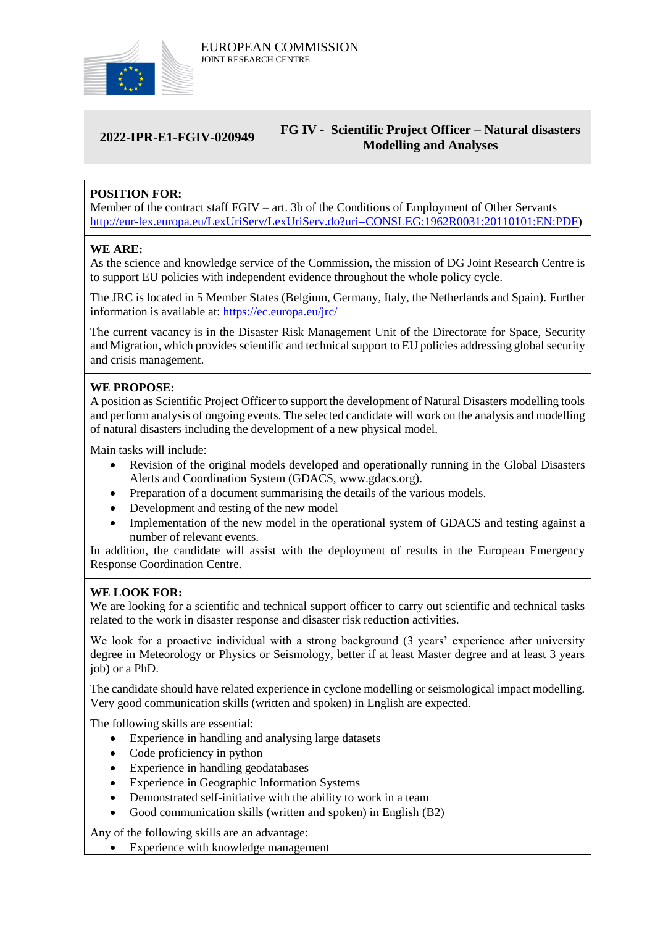

### **2022-IPR-E1-FGIV-020949 FG IV - Scientific Project Officer – Natural disasters Modelling and Analyses**

## **POSITION FOR:**

Member of the contract staff FGIV – art. 3b of the Conditions of Employment of Other Servants [http://eur-lex.europa.eu/LexUriServ/LexUriServ.do?uri=CONSLEG:1962R0031:20110101:EN:PDF\)](http://eur-lex.europa.eu/LexUriServ/LexUriServ.do?uri=CONSLEG:1962R0031:20110101:EN:PDF)

#### **WE ARE:**

As the science and knowledge service of the Commission, the mission of DG Joint Research Centre is to support EU policies with independent evidence throughout the whole policy cycle.

The JRC is located in 5 Member States (Belgium, Germany, Italy, the Netherlands and Spain). Further information is available at: <https://ec.europa.eu/jrc/>

The current vacancy is in the Disaster Risk Management Unit of the Directorate for Space, Security and Migration, which provides scientific and technical support to EU policies addressing global security and crisis management.

#### **WE PROPOSE:**

A position as Scientific Project Officer to support the development of Natural Disasters modelling tools and perform analysis of ongoing events. The selected candidate will work on the analysis and modelling of natural disasters including the development of a new physical model.

Main tasks will include:

- Revision of the original models developed and operationally running in the Global Disasters Alerts and Coordination System (GDACS, www.gdacs.org).
- Preparation of a document summarising the details of the various models.
- Development and testing of the new model
- Implementation of the new model in the operational system of GDACS and testing against a number of relevant events.

In addition, the candidate will assist with the deployment of results in the European Emergency Response Coordination Centre.

#### **WE LOOK FOR:**

We are looking for a scientific and technical support officer to carry out scientific and technical tasks related to the work in disaster response and disaster risk reduction activities.

We look for a proactive individual with a strong background (3 years' experience after university degree in Meteorology or Physics or Seismology, better if at least Master degree and at least 3 years job) or a PhD.

The candidate should have related experience in cyclone modelling or seismological impact modelling. Very good communication skills (written and spoken) in English are expected.

The following skills are essential:

- Experience in handling and analysing large datasets
- Code proficiency in python
- Experience in handling geodatabases
- Experience in Geographic Information Systems
- Demonstrated self-initiative with the ability to work in a team
- Good communication skills (written and spoken) in English (B2)

Any of the following skills are an advantage:

• Experience with knowledge management